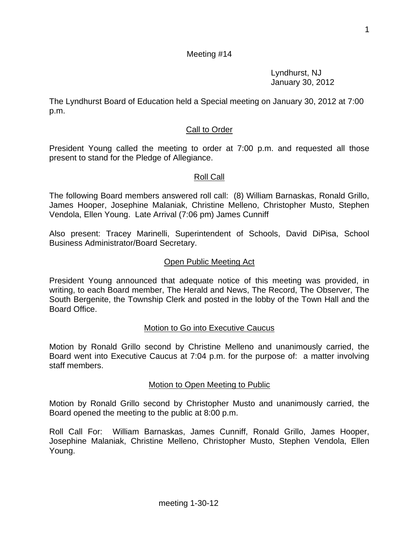1

### Meeting #14

Lyndhurst, NJ January 30, 2012

The Lyndhurst Board of Education held a Special meeting on January 30, 2012 at 7:00 p.m.

# **Call to Order**

President Young called the meeting to order at 7:00 p.m. and requested all those present to stand for the Pledge of Allegiance.

### Roll Call

The following Board members answered roll call: (8) William Barnaskas, Ronald Grillo, James Hooper, Josephine Malaniak, Christine Melleno, Christopher Musto, Stephen Vendola, Ellen Young. Late Arrival (7:06 pm) James Cunniff

Also present: Tracey Marinelli, Superintendent of Schools, David DiPisa, School Business Administrator/Board Secretary.

### Open Public Meeting Act

President Young announced that adequate notice of this meeting was provided, in writing, to each Board member, The Herald and News, The Record, The Observer, The South Bergenite, the Township Clerk and posted in the lobby of the Town Hall and the Board Office.

### Motion to Go into Executive Caucus

Motion by Ronald Grillo second by Christine Melleno and unanimously carried, the Board went into Executive Caucus at 7:04 p.m. for the purpose of: a matter involving staff members.

### Motion to Open Meeting to Public

Motion by Ronald Grillo second by Christopher Musto and unanimously carried, the Board opened the meeting to the public at 8:00 p.m.

Roll Call For: William Barnaskas, James Cunniff, Ronald Grillo, James Hooper, Josephine Malaniak, Christine Melleno, Christopher Musto, Stephen Vendola, Ellen Young.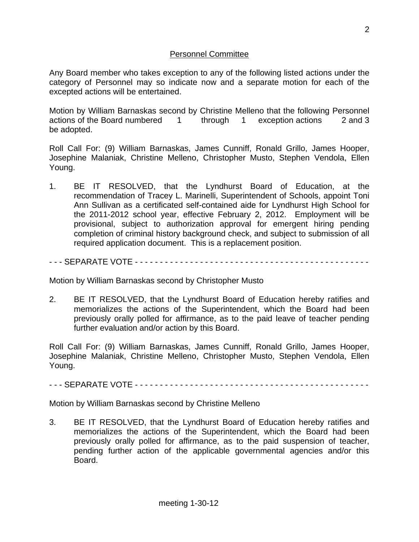#### Personnel Committee

Any Board member who takes exception to any of the following listed actions under the category of Personnel may so indicate now and a separate motion for each of the excepted actions will be entertained.

Motion by William Barnaskas second by Christine Melleno that the following Personnel actions of the Board numbered 1 through 1 exception actions 2 and 3 be adopted.

Roll Call For: (9) William Barnaskas, James Cunniff, Ronald Grillo, James Hooper, Josephine Malaniak, Christine Melleno, Christopher Musto, Stephen Vendola, Ellen Young.

- 1. BE IT RESOLVED, that the Lyndhurst Board of Education, at the recommendation of Tracey L. Marinelli, Superintendent of Schools, appoint Toni Ann Sullivan as a certificated self-contained aide for Lyndhurst High School for the 2011-2012 school year, effective February 2, 2012. Employment will be provisional, subject to authorization approval for emergent hiring pending completion of criminal history background check, and subject to submission of all required application document. This is a replacement position.
- - SEPARATE VOTE - - - - - - - - - - - - - - - - - - - - - - - -

Motion by William Barnaskas second by Christopher Musto

2. BE IT RESOLVED, that the Lyndhurst Board of Education hereby ratifies and memorializes the actions of the Superintendent, which the Board had been previously orally polled for affirmance, as to the paid leave of teacher pending further evaluation and/or action by this Board.

Roll Call For: (9) William Barnaskas, James Cunniff, Ronald Grillo, James Hooper, Josephine Malaniak, Christine Melleno, Christopher Musto, Stephen Vendola, Ellen Young.

- - - SEPARATE VOTE - - - - - - - - - - - - - - - - - - - - - - - - - - - - - - - - - - - - - - - - - - - - - - -

Motion by William Barnaskas second by Christine Melleno

3. BE IT RESOLVED, that the Lyndhurst Board of Education hereby ratifies and memorializes the actions of the Superintendent, which the Board had been previously orally polled for affirmance, as to the paid suspension of teacher, pending further action of the applicable governmental agencies and/or this Board.